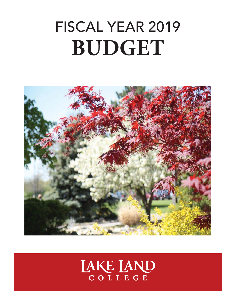# FISCAL YEAR 2019 **BUDGET**



# LAKE LAND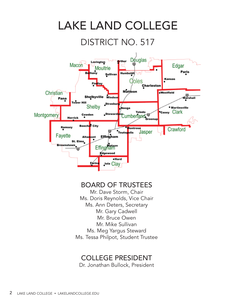

#### Ms. Tessa Philpot, Student Trustee

## COLLEGE PRESIDENT

Dr. Jonathan Bullock, President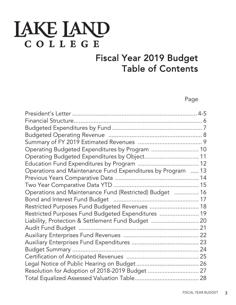## **IAKE IAND** COLLEGE

## Fiscal Year 2019 Budget Table of Contents

Page

| Operating Budgeted Expenditures by Program  10              |  |
|-------------------------------------------------------------|--|
| Operating Budgeted Expenditures by Object 11                |  |
|                                                             |  |
| Operations and Maintenance Fund Expenditures by Program  13 |  |
|                                                             |  |
|                                                             |  |
| Operations and Maintenance Fund (Restricted) Budget  16     |  |
|                                                             |  |
| Restricted Purposes Fund Budgeted Revenues  18              |  |
| Restricted Purposes Fund Budgeted Expenditures  19          |  |
| Liability, Protection & Settlement Fund Budget  20          |  |
|                                                             |  |
|                                                             |  |
|                                                             |  |
|                                                             |  |
|                                                             |  |
|                                                             |  |
|                                                             |  |
|                                                             |  |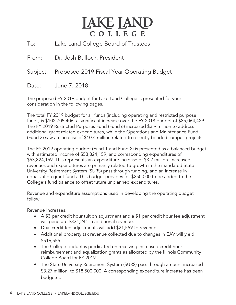## **JAKE JAND** COLLEGE

To: Lake Land College Board of Trustees

From: Dr. Josh Bullock, President

Subject: Proposed 2019 Fiscal Year Operating Budget

Date: June 7, 2018

The proposed FY 2019 budget for Lake Land College is presented for your consideration in the following pages.

The total FY 2019 budget for all funds (including operating and restricted purpose funds) is \$102,705,406, a significant increase over the FY 2018 budget of \$85,064,429. The FY 2019 Restricted Purposes Fund (Fund 6) increased \$3.9 million to address additional grant related expenditures, while the Operations and Maintenance Fund (Fund 3) saw an increase of \$10.4 million related to recently bonded campus projects.

The FY 2019 operating budget (Fund 1 and Fund 2) is presented as a balanced budget with estimated income of \$53,824,159, and corresponding expenditures of \$53,824,159. This represents an expenditure increase of \$3.2 million. Increased revenues and expenditures are primarily related to growth in the mandated State University Retirement System (SURS) pass through funding, and an increase in equalization grant funds. This budget provides for \$250,000 to be added to the College's fund balance to offset future unplanned expenditures.

Revenue and expenditure assumptions used in developing the operating budget follow.

Revenue Increases:

- A \$3 per credit hour tuition adjustment and a \$1 per credit hour fee adjustment will generate \$331,241 in additional revenue.
- Dual credit fee adjustments will add \$21,559 to revenue.
- Additional property tax revenue collected due to changes in EAV will yield \$516,555.
- The College budget is predicated on receiving increased credit hour reimbursement and equalization grants as allocated by the Illinois Community College Board for FY 2019.
- The State University Retirement System (SURS) pass through amount increased \$3.27 million, to \$18,500,000. A corresponding expenditure increase has been budgeted.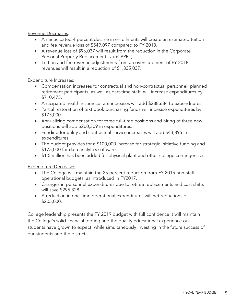Revenue Decreases:

- An anticipated 4 percent decline in enrollments will create an estimated tuition and fee revenue loss of \$549,097 compared to FY 2018.
- A revenue loss of \$96,037 will result from the reduction in the Corporate Personal Property Replacement Tax (CPPRT).
- Tuition and fee revenue adjustments from an overstatement of FY 2018 revenues will result in a reduction of \$1,835,037.

#### Expenditure Increases:

- Compensation increases for contractual and non-contractual personnel, planned retirement participants, as well as part-time staff, will increase expenditures by \$710,475.
- Anticipated health insurance rate increases will add \$288,684 to expenditures.
- Partial restoration of text book purchasing funds will increase expenditures by \$175,000.
- Annualizing compensation for three full-time positions and hiring of three new positions will add \$200,309 in expenditures.
- Funding for utility and contractual service increases will add \$43,895 in expenditures.
- The budget provides for a \$100,000 increase for strategic initiative funding and \$175,000 for data analytics software.
- \$1.5 million has been added for physical plant and other college contingencies.

**Expenditure Decreases:** 

- The College will maintain the 25 percent reduction from FY 2015 non-staff operational budgets, as introduced in FY2017.
- Changes in personnel expenditures due to retiree replacements and cost shifts will save \$295,328.
- A reduction in one-time operational expenditures will net reductions of \$205,000.

College leadership presents the FY 2019 budget with full confidence it will maintain the College's solid financial footing and the quality educational experience our students have grown to expect, while simultaneously investing in the future success of our students and the district.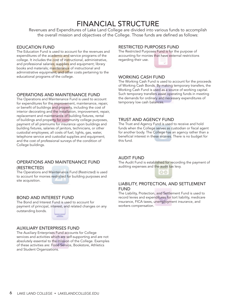## FINANCIAL STRUCTURE

Revenues and Expenditures of Lake Land College are divided into various funds to accomplish the overall mission and objectives of the College. Those funds are defined as follows:

#### EDUCATION FUND

The Education Fund is used to account for the revenues and expenditures of the academic and service programs of the college. It includes the cost of instructional, administrative, and professional salaries; supplies and equipment; library books and materials; maintenance of instructional and administrative equipment; and other costs pertaining to the educational programs of the college.

#### OPERATIONS AND MAINTENANCE FUND

The Operations and Maintenance Fund is used to account for expenditures for the improvement, maintenance, repair, or benefit of buildings and property, including the cost of interior decorating and the installation, improvement, repair, replacement and maintenance of building fixtures, rental of buildings and property for community college purposes, payment of all premiums for insurance upon buildings and building fixtures, salaries of janitors, technicians, or other custodial employees; all costs of fuel, lights, gas, water, telephone service and custodial supplies and equipment; and the cost of professional surveys of the condition of College buildings.

#### OPERATIONS AND MAINTENANCE FUND (RESTRICTED)

The Operations and Maintenance Fund (Restricted) is used to account for monies restricted for building purposes and site acquisition.

#### BOND AND INTEREST FUND

The Bond and Interest Fund is used to account for payment of principal, interest, and related changes on any outstanding bonds.

#### AUXILIARY ENTERPRISES FUND

The Auxiliary Enterprises Fund accounts for College services and activities which are self-supporting and are not absolutely essential to the mission of the College. Examples of these activities are: Food Service, Bookstore, Athletics and Student Organizations.

#### RESTRICTED PURPOSES FUND

The Restricted Purposes Fund is for the purpose of accounting for monies that have external restrictions regarding their use.



#### WORKING CASH FUND

The Working Cash Fund is used to account for the proceeds of Working Cash Bonds. By making temporary transfers, the Working Cash Fund is used as a source of working capital. Such temporary transfers assist operating funds in meeting the demands for ordinary and necessary expenditures of temporary low cash balances.

#### TRUST AND AGENCY FUND

The Trust and Agency Fund is used to receive and hold funds when the College serves as custodian or fiscal agent for another body. The College has an agency rather than a beneficial interest in these monies. There is no budget for this fund.

#### AUDIT FUND

The Audit Fund is established for recording the payment of auditing expenses and the audit tax levy.



#### LIABILITY, PROTECTION, AND SETTLEMENT FUND

The Liability, Protection, and Settlement Fund is used to record levies and expenditures for tort liability, medicare insurance, FICA taxes, unemployment insurance, and workers compensation.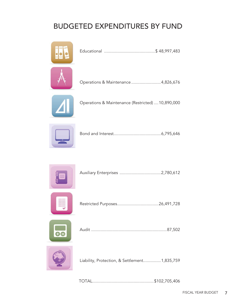## BUDGETED EXPENDITURES BY FUND





|--|--|



Restricted Purposes ................................... 26,491,728



|--|



Liability, Protection, & Settlement............... 1,835,759

TOTAL .................................................... \$102,705,406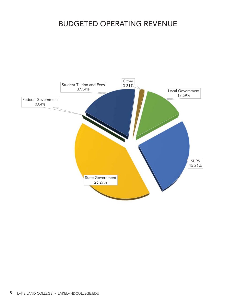## BUDGETED OPERATING REVENUE

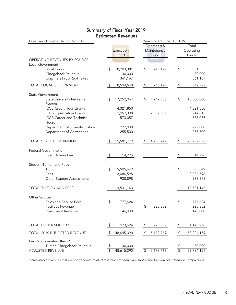| Lake Land College District No. 517                  |            |                   |                | Year Ended June 30, 2019           |                         |                             |
|-----------------------------------------------------|------------|-------------------|----------------|------------------------------------|-------------------------|-----------------------------|
|                                                     |            | Education<br>Fund |                | Operating &<br>Maintenance<br>Fund |                         | Total<br>Operating<br>Funds |
| OPERATING REVENUES BY SOURCE                        |            |                   |                |                                    |                         |                             |
| Local Government<br>Local Taxes                     | \$         | 8,203,381         | \$             | 748,174                            | \$                      | 8,951,555                   |
| Chargeback Revenue                                  |            | 30,000            |                |                                    |                         | 30,000                      |
| Corp Pers Prop Repl Taxes                           |            | 361,167           |                |                                    |                         | 361,167                     |
| TOTAL LOCAL GOVERNMENT                              | \$         | 8,594,548         | $\updownarrow$ | 748,174                            | $\updownarrow$          | 9,342,722                   |
| <b>State Government</b>                             |            |                   |                |                                    |                         |                             |
| <b>State University Retirement</b>                  | \$         | 17,252,064        | \$             | 1,247,936                          | \$                      | 18,500,000                  |
| System                                              |            |                   |                |                                    |                         |                             |
| <b>ICCB Credit Hour Grants</b>                      |            | 4,321,850         |                |                                    |                         | 4,321,850                   |
| <b>ICCB</b> Equalization Grants                     |            | 2,957,308         |                | 2,957,307                          |                         | 5,914,615                   |
| <b>ICCB Career and Technical</b><br>Hours           |            | 573,057           |                |                                    |                         | 573,057                     |
| Department of Juvenile Justice                      |            | 222,000           |                |                                    |                         | 222,000                     |
| Department of Corrections                           |            | 255,500           |                |                                    |                         | 255,500                     |
|                                                     |            |                   |                |                                    |                         |                             |
| TOTAL STATE GOVERNMENT                              | \$         | 25,581,779        | \$             | 4,205,244                          | \$                      | 29,787,022                  |
| <b>Federal Government</b>                           |            |                   |                |                                    |                         |                             |
| Grant Admin Fee                                     | $\sqrt{2}$ | 14,296            |                |                                    | \$                      | 14,296                      |
| <b>Student Tuition and Fees</b>                     |            |                   |                |                                    |                         |                             |
| Tuition                                             | \$         | 9,505,649         |                |                                    | \$                      | 9,505,649                   |
| Fees                                                |            | 3,086,596         |                |                                    |                         | 3,086,596                   |
| Other Student Assessments                           |            | 938,898           |                |                                    |                         | 938,898                     |
| TOTAL TUITION AND FEES                              |            | 13,531,143        |                |                                    |                         | 13,531,143                  |
|                                                     |            |                   |                |                                    |                         |                             |
| Other Sources                                       |            |                   |                |                                    |                         |                             |
| Sales and Service Fees<br><b>Facilities Revenue</b> | \$         | 777,624           | \$             | 225,352                            | \$                      | 777,624<br>225,352          |
| Investment Revenue                                  |            | 146,000           |                |                                    |                         | 146,000                     |
|                                                     |            |                   |                |                                    |                         |                             |
| <b>TOTAL OTHER SOURCES</b>                          | \$         | 923,624           | \$             | 225,352                            | $\updownarrow$          | 1,148,976                   |
| TOTAL 2019 BUDGETED REVENUE                         | \$         | 48,645,390        | $\updownarrow$ | 5,178,769                          | $\sqrt[6]{\frac{4}{5}}$ | 53,824,159                  |
|                                                     |            |                   |                |                                    |                         |                             |
| Less Nonoperating Items*                            |            | 30,000            |                |                                    |                         |                             |
| Tuition Chargeback Revenue<br>ADJUSTED REVENUE      | \$<br>\$   | 48,615,390        | \$             | 5,178,769                          | \$<br>$\overline{\$}$   | 30,000<br>53,794,159        |
|                                                     |            |                   |                |                                    |                         |                             |

#### Summary of Fiscal Year 2019 Estimated Revenues

\*Interdistrict revenues that do not generate related district credit hours are subtracted to allow for statewide comparisons.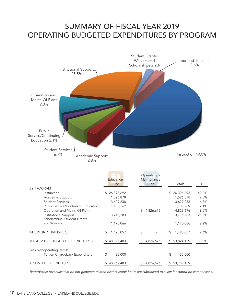## SUMMARY OF FISCAL YEAR 2019 OPERATING BUDGETED EXPENDITURES BY PROGRAM



|                                                       | Education<br>Fund | Operating &<br>Maintenance<br>Fund | Totals          | %     |
|-------------------------------------------------------|-------------------|------------------------------------|-----------------|-------|
| <b>BY PROGRAM</b>                                     |                   |                                    |                 |       |
| Instruction                                           | 26,396,692<br>S.  |                                    | 26,396,692<br>S | 49.0% |
| Academic Support                                      | 1,526,878         |                                    | 1,526,878       | 2.8%  |
| <b>Student Services</b>                               | 3,629,238         |                                    | 3,629,238       | 6.7%  |
| Public Service/Continuing Education                   | 1,133,269         |                                    | 1,133,269       | 2.1%  |
| Operation and Maint. Of Plant                         |                   | 4,826,676<br>\$                    | 4,826,676       | 9.0%  |
| Institutional Support<br>Scholarships, Student Grants | 13,716,283        |                                    | 13,716,283      | 25.5% |
| and Waivers                                           | 1,170,066         |                                    | 1,170,066       | 2.2%  |
| <b>INTERFUND TRANSFERS</b>                            | 1,425,057<br>\$.  | \$.                                | 1,425,057<br>S  | 2.6%  |
| <b>TOTAL 2019 BUDGETED EXPENDITURES</b>               | 48,997,483<br>S.  | 4,826,676                          | \$53,824,159    | 100%  |
| Less Nonoperating Items*                              |                   |                                    |                 |       |
| Tuition Chargeback Expenditure                        | 35,000<br>\$      |                                    | 35,000<br>S     |       |
| <b>ADJUSTED EXPENDITURES</b>                          | 48,962,483        | 4,826,676                          | \$53,789,159    |       |

\*Interdistrict revenues that do not generate related district credit hours are subtracted to allow for statewide comparisons.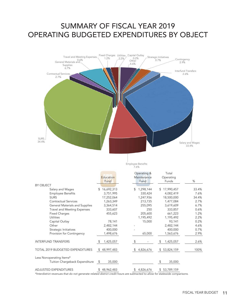## SUMMARY OF FISCAL YEAR 2019 OPERATING BUDGETED EXPENDITURES BY OBJECT



Employee Benefits 7.6%

|                                    | Education<br>Fund | Operating &<br>Maintenance<br>Fund | Total<br>Operating<br>Funds | %     |
|------------------------------------|-------------------|------------------------------------|-----------------------------|-------|
| BY OBJECT                          |                   |                                    |                             |       |
| Salary and Wages                   | 16,692,313<br>\$  | 1,298,144<br>\$                    | 17,990,457<br>\$            | 33.4% |
| <b>Employee Benefits</b>           | 3,751,995         | 330,424                            | 4,082,419                   | 7.6%  |
| <b>SURS</b>                        | 17,252,064        | 1,247,936                          | 18,500,000                  | 34.4% |
| <b>Contractual Services</b>        | 1,263,349         | 213,735                            | 1,477,084                   | 2.7%  |
| General Materials and Supplies     | 3,364,514         | 255,095                            | 3,619,609                   | 6.7%  |
| <b>Travel and Meeting Expenses</b> | 333,607           | 250                                | 333,857                     | 0.6%  |
| <b>Fixed Charges</b>               | 455,623           | 205,600                            | 661,223                     | 1.2%  |
| Utilities                          |                   | 1,195,492                          | 1,195,492                   | 2.2%  |
| Capital Outlay                     | 78,141            | 15,000                             | 93,141                      | 0.2%  |
| Other                              | 2,482,144         |                                    | 2,482,144                   | 4.6%  |
| Strategic Initiatives              | 400,000           |                                    | 400,000                     | 0.7%  |
| Provision for Contingency          | 1,498,676         | 65,000                             | 1,563,676                   | 2.9%  |
| <b>INTERFUND TRANSFERS</b>         | 1,425,057         | S.                                 | 1,425,057                   | 2.6%  |
| TOTAL 2019 BUDGETED EXPENDITURES   | 48,997,483<br>\$  | 4,826,676<br>S.                    | \$53,824,159                | 100%  |
| Less Nonoperating Items*           |                   |                                    |                             |       |
| Tuition Chargeback Expenditure     | 35,000<br>\$      |                                    | 35,000                      |       |
| <b>ADJUSTED EXPENDITURES</b>       | 48,962,483<br>\$  | 4,826,676<br>\$                    | \$53,789,159                |       |

\*Interdistrict revenues that do not generate related district credit hours are subtracted to allow for statewide comparisons.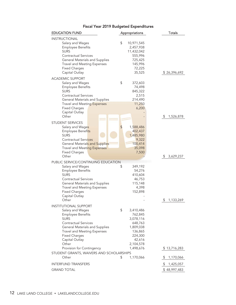#### Fiscal Year 2019 Budgeted Expenditures

| <b>EDUCATION FUND</b>                                                                                                                                                                                                                                                                                                            | Appropriations                                                                                                                               | <b>Totals</b>                   |
|----------------------------------------------------------------------------------------------------------------------------------------------------------------------------------------------------------------------------------------------------------------------------------------------------------------------------------|----------------------------------------------------------------------------------------------------------------------------------------------|---------------------------------|
| <b>INSTRUCTIONAL</b><br>Salary and Wages<br><b>Employee Benefits</b><br><b>SURS</b><br><b>Contractual Services</b><br>General Materials and Supplies<br><b>Travel and Meeting Expenses</b><br><b>Fixed Charges</b><br>Capital Outlay                                                                                             | \$<br>10,971,545<br>2,457,938<br>11,432,042<br>555,996<br>725,425<br>145,996<br>72,225<br>35,525                                             | \$26,396,692                    |
| <b>ACADEMIC SUPPORT</b><br>Salary and Wages<br><b>Employee Benefits</b><br><b>SURS</b><br><b>Contractual Services</b><br>General Materials and Supplies<br><b>Travel and Meeting Expenses</b><br><b>Fixed Charges</b><br>Capital Outlay<br>Other                                                                                 | \$<br>372,603<br>74,498<br>845,322<br>2,515<br>214,490<br>11,250<br>6,200                                                                    | 1,526,878<br>S                  |
| STUDENT SERVICES<br>Salary and Wages<br>Employee Benefits<br><b>SURS</b><br><b>Contractual Services</b><br><b>General Materials and Supplies</b><br><b>Travel and Meeting Expenses</b><br><b>Fixed Charges</b><br>Other                                                                                                          | 1,588,486<br>\$<br>402,437<br>1,485,980<br>9,322<br>100,414<br>35,098<br>7,500                                                               | \$                              |
| PUBLIC SERVICE/CONTINUING EDUCATION<br>Salary and Wages<br><b>Employee Benefits</b><br><b>SURS</b><br><b>Contractual Services</b><br>General Materials and Supplies<br><b>Travel and Meeting Expenses</b><br><b>Fixed Charges</b><br>Capital Outlay<br>Other                                                                     | 349,192<br>\$<br>54,276<br>410,604<br>46,753<br>115,148<br>4,398<br>152,898                                                                  | 3,629,237<br>1,133,269<br>\$    |
| <b>INSTITUTIONAL SUPPORT</b><br>Salary and Wages<br><b>Employee Benefits</b><br><b>SURS</b><br>Contractual Services<br>General Materials and Supplies<br><b>Travel and Meeting Expenses</b><br><b>Fixed Charges</b><br>Capital Outlay<br>Other<br>Provision for Contingency<br>STUDENT GRANTS, WAIVERS AND SCHOLARSHIPS<br>Other | \$<br>3,410,486<br>762,845<br>3,078,116<br>648,763<br>1,809,038<br>136,865<br>224,300<br>42,616<br>2,104,578<br>1,498,676<br>\$<br>1,170,066 | \$13,716,283<br>1,170,066<br>\$ |
| <b>INTERFUND TRANSFERS</b>                                                                                                                                                                                                                                                                                                       |                                                                                                                                              | \$<br>1,425,057                 |
| <b>GRAND TOTAL</b>                                                                                                                                                                                                                                                                                                               |                                                                                                                                              | \$48,997,483                    |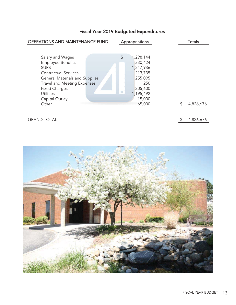## Fiscal Year 2019 Budgeted Expenditures

| OPERATIONS AND MAINTENANCE FUND                                                                                                                                                                                                  |    | Appropriations                                                                                   | <b>Totals</b> |
|----------------------------------------------------------------------------------------------------------------------------------------------------------------------------------------------------------------------------------|----|--------------------------------------------------------------------------------------------------|---------------|
|                                                                                                                                                                                                                                  |    |                                                                                                  |               |
| Salary and Wages<br><b>Employee Benefits</b><br><b>SURS</b><br><b>Contractual Services</b><br>General Materials and Supplies<br><b>Travel and Meeting Expenses</b><br><b>Fixed Charges</b><br><b>Utilities</b><br>Capital Outlay | \$ | 1,298,144<br>330,424<br>1,247,936<br>213,735<br>255,095<br>250<br>205,600<br>1,195,492<br>15,000 |               |
| Other                                                                                                                                                                                                                            |    | 65,000                                                                                           | 4,826,676     |
| <b>GRAND TOTAL</b>                                                                                                                                                                                                               |    |                                                                                                  | 4,826,676     |

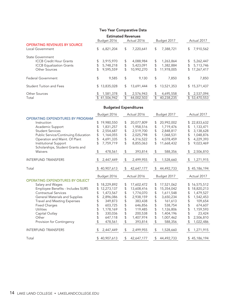#### Two Year Comparative Data

| <b>Estimated Revenues</b>                               |               |              |    |             |                |             |                |              |
|---------------------------------------------------------|---------------|--------------|----|-------------|----------------|-------------|----------------|--------------|
|                                                         |               | Budget 2016  |    | Actual 2016 |                | Budget 2017 |                | Actual 2017  |
| <b>OPERATING REVENUES BY SOURCE</b><br>Local Government | \$            | 6,821,204    | \$ | 7,220,641   | \$             | 7,388,721   | \$             | 7,910,562    |
| <b>State Government</b>                                 |               |              |    |             |                |             |                |              |
| <b>ICCB Credit Hour Grants</b>                          | \$            | 3,915,970    | \$ | 4,088,984   | \$             | 1,263,864   |                | 5,262,447    |
| <b>ICCB</b> Equalization Grants                         |               | 5,748,218    | \$ | 5,423,091   | \$             | 1,382,884   | $\mathbb{S}^-$ | 5,113,746    |
| <b>Other Sources</b>                                    | \$            | 9,595,559    | \$ | 10,992,270  | \$             | 11,978,005  |                | \$17,267,417 |
| <b>Federal Government</b>                               | \$            | 9,585        | \$ | 9.130       | \$             | 7,850       | \$             | 7,850        |
| <b>Student Tuition and Fees</b>                         |               | \$13,835,028 | \$ | 13,691,444  | \$             | 13,521,353  |                | \$15,371,437 |
| <b>Other Sources</b>                                    |               | 1,581,378    | \$ | 2,576,943   | \$             | 4,695,558   |                | 2,537,094    |
| Total                                                   | $\mathcal{L}$ | 41,506,942   | \$ | 44,002,503  | $\mathfrak{L}$ | 40.238.235  |                | \$53,470,553 |

#### Budgeted Expenditures

|                                          |                | Budget 2016  |                                                   | Actual 2016 |            | Budget 2017 |            | Actual 2017  |
|------------------------------------------|----------------|--------------|---------------------------------------------------|-------------|------------|-------------|------------|--------------|
| <b>OPERATING EXPENDITURES BY PROGRAM</b> |                |              |                                                   |             |            |             |            |              |
| Instruction                              | \$             | 19,980,550   | \$                                                | 20,077,809  | \$         | 20,992,002  | \$         | 22,833,632   |
| Academic Support                         |                | 1,831,257    | \$                                                | 1,958,516   | \$         | 1,719,476   | \$         | 1,133,471    |
| <b>Student Services</b>                  |                | 2,554,687    | \$                                                | 2,519,700   | \$         | 2,848,817   | \$         | 3,138,628    |
| Public Service/Continuing Education      | \$             | 1,164,055    | \$                                                | 2,025,798   | \$         | 1,068,531   | \$         | 1,048,876    |
| Operation and Maint. Of Plant            | \$             | 4,691,335    | \$                                                | 4,316,522   | \$         | 4,078,459   | \$         | 4,229,393    |
| Institutional Support                    | $\mathfrak{L}$ | 7,759,719    | \$                                                | 8,855,063   | \$         | 11,668,432  | \$         | 9,023,469    |
| Scholarships, Student Grants and         |                |              |                                                   |             |            |             |            |              |
| Waivers                                  | \$             | 478,561      | $\, \, \raisebox{-1.5pt}{\text{\circle*{1.5}}}\,$ | 393,814     | \$         | 588,356     | \$         | 2,506,810    |
| <b>INTERFUND TRANSFERS</b>               | \$             | 2,447,449    | \$                                                | 2,499,955   | \$         | 1,528,660   | -\$        | 1,271,915    |
|                                          |                |              |                                                   |             |            |             |            |              |
| Total                                    |                | \$40,907,613 | \$                                                | 42,647,177  | \$         | 44,492,733  |            | \$45,186,194 |
|                                          |                | Budget 2016  |                                                   | Actual 2016 |            | Budget 2017 |            | Actual 2017  |
| OPERATING EXPENDITURES BY OBJECT         |                |              |                                                   |             |            |             |            |              |
| Salary and Wages                         | \$             | 18,229,892   | \$                                                | 17,602,472  | \$         | 17,521,062  | \$         | 16,575,512   |
| Employee Benefits - Includes SURS        |                | 12,273,137   | \$                                                | 13,608,416  | \$         | 15,354,042  | \$         | 18,820,213   |
| <b>Contractual Services</b>              | \$             | 1,473,567    | \$                                                | 1,774,070   | \$         | 1,611,548   | \$         | 1,479,527    |
| General Materials and Supplies           |                | 2,896,086    | \$                                                | 2,938,159   | \$         | 3,650,234   | \$         | 1,542,453    |
| <b>Travel and Meeting Expenses</b>       |                | 349,873      | \$                                                | 383,438     | \$         | 161,613     | \$         | 109,654      |
| <b>Fixed Charges</b>                     |                | 603,725      | \$                                                | 646,856     | \$         | 538,754     | \$         | 674,607      |
| Utilities                                | \$             | 1,178,169    | \$                                                | 119,485     | \$         | 1,126,806   | \$         | 1,159,593    |
| Capital Outlay                           |                | 330,036      |                                                   | 200,538     | \$         | 1,404,196   | \$         | 23,424       |
| Other                                    |                | 647,118      | \$                                                | 1,407,974   | \$         | 1,007,462   | \$         | 2,506,810    |
| Provision for Contingency                | \$             | 478,561      | \$                                                | 393,814     | \$         | 588,356     | $\sqrt{2}$ | 1,022,486    |
| <b>INTERFUND TRANSFERS</b>               | \$             | 2,447,449    | \$                                                | 2,499,955   | $\sqrt{2}$ | 1,528,660   | \$         | 1,271,915    |
| Total                                    |                | \$40,907,613 | \$                                                | 42,647,177  | \$         | 44,492,733  |            | \$45,186,194 |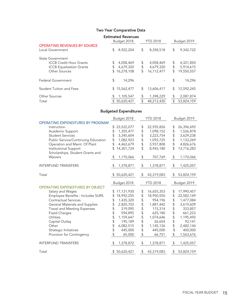#### Two Year Comparative Data

|                                                                                                        |                | <b>Estimated Revenues</b><br>Budget 2018 | <b>YTD 2018</b> | Budget 2019                          |                |                                      |  |
|--------------------------------------------------------------------------------------------------------|----------------|------------------------------------------|-----------------|--------------------------------------|----------------|--------------------------------------|--|
| <b>OPERATING REVENUES BY SOURCE</b><br>Local Government                                                | \$             | 8,922,204                                | \$              | 8,358,518                            | \$             | 9,342,722                            |  |
| State Government<br><b>ICCB Credit Hour Grants</b><br><b>ICCB</b> Equalization Grants<br>Other Sources | \$<br>\$<br>\$ | 4,058,469<br>4,679,320<br>16,278,108     | \$<br>\$<br>\$  | 4,058,469<br>4,679,320<br>16,112,477 | \$<br>\$<br>\$ | 4,321,850<br>5,914,615<br>19,550,557 |  |
| Federal Government                                                                                     | \$             | 14.296                                   |                 |                                      | \$             | 14,296                               |  |
| <b>Student Tuition and Fees</b>                                                                        | \$             | 15,562,477                               | \$              | 13,606,417                           | \$             | 12,592,245                           |  |
| <b>Other Sources</b><br>Total                                                                          |                | 1,105,547<br>\$50,620,421                | \$<br>\$        | 1,398,229<br>48,213,430              | \$<br>\$       | 2,087,874<br>53,824,159              |  |

#### Budgeted Expenditures

|                                          |    | Budget 2018  | <b>YTD 2018</b>  |                | Budget 2019 |
|------------------------------------------|----|--------------|------------------|----------------|-------------|
| <b>OPERATING EXPENDITURES BY PROGRAM</b> |    |              |                  |                |             |
| Instruction                              | \$ | 23,522,077   | \$<br>22,935,826 | \$             | 26,396,692  |
| Academic Support                         | \$ | 1,355,477    | \$<br>1,098,152  | \$             | 1,526,878   |
| <b>Student Services</b>                  | \$ | 3,345,604    | \$<br>3,223,754  | \$             | 3,629,238   |
| Public Service/Continuing Education      | \$ | 1,082,923    | \$<br>1,093,725  | \$             | 1,133,269   |
| Operation and Maint. Of Plant            | \$ | 4,463,679    | \$<br>3,937,808  | \$             | 4,826,676   |
| Institutional Support                    | \$ | 14,301,724   | \$<br>8,943,180  | \$             | 13,716,283  |
| Scholarships, Student Grants and         |    |              |                  |                |             |
| Waivers                                  | \$ | 1,170,066    | \$<br>707,769    | $\updownarrow$ | 1,170,066   |
|                                          |    |              |                  |                |             |
| <b>INTERFUND TRANSFERS</b>               | \$ | 1,378,871    | \$<br>1,378,871  | $\frac{1}{2}$  | 1,425,057   |
|                                          |    |              |                  |                |             |
| Total                                    | S. | 50,620,421   | \$<br>43,319,083 | \$             | 53,824,159  |
|                                          |    | Budget 2018  | <b>YTD 2018</b>  |                | Budget 2019 |
| <b>OPERATING EXPENDITURES BY OBJECT</b>  |    |              |                  |                |             |
| Salary and Wages                         | \$ | 17,131,930   | \$<br>16,655,353 | \$             | 17,990,457  |
| Employee Benefits - Includes SURS        | \$ | 18,992,255   | \$<br>18,950,550 | \$             | 22,582,149  |
| <b>Contractual Services</b>              | \$ | 1,435,320    | \$<br>954,196    | \$             | 1,477,084   |
| General Materials and Supplies           | \$ | 2,820,703    | \$<br>1,881,442  | \$             | 3,619,609   |
| <b>Travel and Meeting Expenses</b>       | \$ | 319,095      | \$<br>115,314    | \$             | 333,857     |
| <b>Fixed Charges</b>                     | \$ | 594,895      | \$<br>625,180    | \$             | 661,223     |
| Utilities                                | \$ | 1,159,647    | \$<br>1,074,646  | \$             | 1,195,492   |
| Capital Outlay                           | \$ | 195,189      | \$<br>26,654     | \$             | 93,141      |
| Other                                    | \$ | 6,082,515    | \$<br>1,145,126  | \$             | 2,482,144   |
| Strategic Initiatives                    | \$ | 445,000      | \$<br>445,000    | \$             | 400,000     |
| Provision for Contingency                | \$ | 65,000       | \$<br>66,751     | \$             | 1,563,676   |
|                                          |    |              |                  |                |             |
| <b>INTERFUND TRANSFERS</b>               | \$ | 1,378,872    | \$<br>1,378,871  | $\mathsf{\$}$  | 1,425,057   |
| Total                                    |    | \$50,620,421 | \$<br>43,319,083 | \$             | 53,824,159  |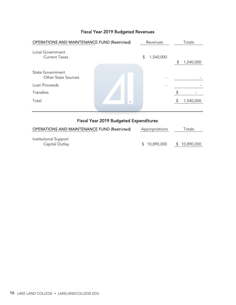| <b>OPERATIONS AND MAINTENANCE FUND (Restricted)</b>   | Revenues |           |    | Totals    |
|-------------------------------------------------------|----------|-----------|----|-----------|
| Local Government<br><b>Current Taxes</b>              | \$       | 1,540,000 | S  | 1,540,000 |
| <b>State Government</b><br><b>Other State Sources</b> |          |           |    |           |
| Loan Proceeds                                         |          |           |    |           |
| Transfers                                             |          |           |    |           |
| Total                                                 |          |           | S. | 1,540,000 |
|                                                       |          |           |    |           |

#### Fiscal Year 2019 Budgeted Expenditures

| <b>OPERATIONS AND MAINTENANCE FUND (Restricted)</b> | Appropriations | Totals       |  |
|-----------------------------------------------------|----------------|--------------|--|
| Institutional Support<br>Capital Outlay             | \$10,890,000   | \$10,890,000 |  |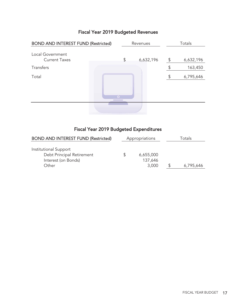| <b>BOND AND INTEREST FUND (Restricted)</b> |           | Revenues | Totals    |    |           |
|--------------------------------------------|-----------|----------|-----------|----|-----------|
| Local Government<br><b>Current Taxes</b>   |           | \$       | 6,632,196 | \$ | 6,632,196 |
| Transfers                                  |           |          |           |    | 163,450   |
| Total                                      |           |          |           | \$ | 6,795,646 |
|                                            | $\bullet$ |          |           |    |           |
|                                            |           |          |           |    |           |

## Fiscal Year 2019 Budgeted Expenditures

| <b>BOND AND INTEREST FUND (Restricted)</b>                                         | Appropriations |                               | Totals    |
|------------------------------------------------------------------------------------|----------------|-------------------------------|-----------|
| Institutional Support<br>Debt Principal Retirement<br>Interest (on Bonds)<br>Other |                | 6,655,000<br>137,646<br>3,000 | 6,795,646 |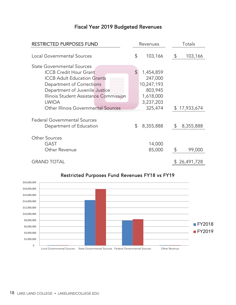| <b>RESTRICTED PURPOSES FUND</b>                                |    | Revenues   |                | Totals       |  |
|----------------------------------------------------------------|----|------------|----------------|--------------|--|
| <b>Local Governmental Sources</b>                              | \$ | 103,166    | $\mathfrak{L}$ | 103,166      |  |
| <b>State Governmental Sources</b>                              |    |            |                |              |  |
| <b>ICCB Credit Hour Grant</b>                                  | \$ | 1,454,859  |                |              |  |
| <b>ICCB Adult Education Grants</b>                             |    | 247,000    |                |              |  |
| Department of Corrections                                      |    | 10,247,193 |                |              |  |
| Department of Juvenile Justice                                 |    | 803,945    |                |              |  |
| Illinois Student Assistance Commission                         |    | 1,618,000  |                |              |  |
| <b>LWIOA</b>                                                   |    | 3,237,203  |                |              |  |
| Other Illinois Governmental Sources                            |    | 325,474    |                | \$17,933,674 |  |
| <b>Federal Governmental Sources</b><br>Department of Education | \$ | 8,355,888  | $\sqrt{2}$     | 8,355,888    |  |
|                                                                |    |            |                |              |  |
| <b>Other Sources</b>                                           |    |            |                |              |  |
| <b>GAST</b>                                                    |    | 14,000     |                |              |  |
| Other Revenue                                                  |    | 85,000     | \$             | 99,000       |  |
| <b>GRAND TOTAL</b>                                             |    |            |                | \$26,491,728 |  |
|                                                                |    |            |                |              |  |



#### Restricted Purposes Fund Revenues FY18 vs FY19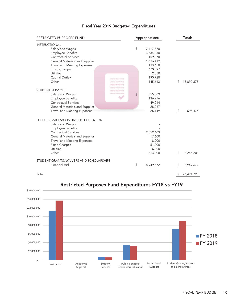#### Fiscal Year 2019 Budgeted Expenditures

| <b>RESTRICTED PURPOSES FUND</b>                                                                                                                                                                                                           | Appropriations                                                                      | <b>Totals</b>    |
|-------------------------------------------------------------------------------------------------------------------------------------------------------------------------------------------------------------------------------------------|-------------------------------------------------------------------------------------|------------------|
| <b>INSTRUCTIONAL</b><br>Salary and Wages<br><b>Employee Benefits</b><br><b>Contractual Services</b><br>General Materials and Supplies<br><b>Travel and Meeting Expenses</b><br><b>Fixed Charges</b><br>Utilities                          | \$<br>7,417,378<br>3,334,058<br>159,070<br>1,636,412<br>133,650<br>670,597<br>2,880 |                  |
| Capital Outlay<br>Other                                                                                                                                                                                                                   | 190,720<br>145,613                                                                  | 13,690,378<br>\$ |
| <b>STUDENT SERVICES</b><br>Salary and Wages<br><b>Employee Benefits</b><br>Contractual Services<br>General Materials and Supplies<br><b>Travel and Meeting Expenses</b>                                                                   | \$<br>355,869<br>136,976<br>49,214<br>28,267<br>26,149                              | 596,475<br>S     |
| PUBLIC SERVICES/CONTINUING EDUCATION<br>Salary and Wages<br><b>Employee Benefits</b><br><b>Contractual Services</b><br>General Materials and Supplies<br><b>Travel and Meeting Expenses</b><br><b>Fixed Charges</b><br>Utilities<br>Other | 2,859,403<br>17,600<br>8,200<br>51,000<br>6,000<br>313,000                          | 3,255,203<br>S   |
| STUDENT GRANTS, WAIVERS AND SCHOLARSHIPS<br>Financial Aid                                                                                                                                                                                 | \$<br>8,949,672                                                                     | 8,949,672        |
| Total                                                                                                                                                                                                                                     |                                                                                     | \$<br>26,491,728 |



## Restricted Purposes Fund Expenditures FY18 vs FY19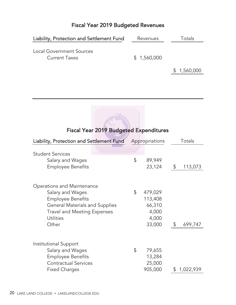| Liability, Protection and Settlement Fund               | Revenues    | Totals      |
|---------------------------------------------------------|-------------|-------------|
| <b>Local Government Sources</b><br><b>Current Taxes</b> | \$1,560,000 |             |
|                                                         |             | \$1,560,000 |

| Liability, Protection and Settlement Fund                                                                                                                                       | Appropriations                                                 | Totals                   |
|---------------------------------------------------------------------------------------------------------------------------------------------------------------------------------|----------------------------------------------------------------|--------------------------|
| <b>Student Services</b><br>Salary and Wages<br><b>Employee Benefits</b>                                                                                                         | \$<br>89,949<br>23,124                                         | $\frac{1}{2}$<br>113,073 |
| Operations and Maintenance<br>Salary and Wages<br><b>Employee Benefits</b><br><b>General Materials and Supplies</b><br><b>Travel and Meeting Expenses</b><br>Utilities<br>Other | \$<br>479,029<br>113,408<br>66,310<br>4,000<br>4,000<br>33,000 | \$<br>699,747            |
| Institutional Support<br>Salary and Wages<br><b>Employee Benefits</b><br><b>Contractual Services</b><br><b>Fixed Charges</b>                                                    | \$<br>79,655<br>13,284<br>25,000<br>905,000                    | 1,022,939<br>\$          |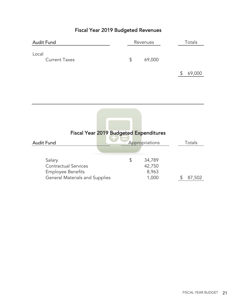| <b>Audit Fund</b>             | Revenues |    |        | Totals |        |
|-------------------------------|----------|----|--------|--------|--------|
| Local<br><b>Current Taxes</b> |          | \$ | 69,000 |        |        |
|                               |          |    |        |        | 69,000 |

|                                       | <b>Fiscal Year 2019 Budgeted Expenditures</b> |                |        |
|---------------------------------------|-----------------------------------------------|----------------|--------|
| <b>Audit Fund</b>                     |                                               | Appropriations | Totals |
|                                       |                                               |                |        |
| Salary                                | \$                                            | 34,789         |        |
| <b>Contractual Services</b>           |                                               | 42,750         |        |
| <b>Employee Benefits</b>              |                                               | 8,963          |        |
| <b>General Materials and Supplies</b> |                                               | 1,000          | 87,502 |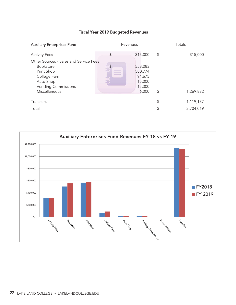| <b>Auxiliary Enterprises Fund</b>                                                                          |                       | Revenues                                                  |               | Totals    |
|------------------------------------------------------------------------------------------------------------|-----------------------|-----------------------------------------------------------|---------------|-----------|
| <b>Activity Fees</b><br>Other Sources - Sales and Service Fees                                             | \$                    | 315,000                                                   | \$            | 315,000   |
| <b>Bookstore</b><br>Print Shop<br>College Farm<br>Auto Shop<br><b>Vending Commissions</b><br>Miscellaneous | $\boldsymbol{\theta}$ | 558,083<br>580,774<br>94,675<br>15,000<br>15,300<br>6,000 | $\sqrt[6]{2}$ | 1,269,832 |
| Transfers                                                                                                  |                       |                                                           |               | 1,119,187 |
| Total                                                                                                      |                       |                                                           |               | 2,704,019 |
|                                                                                                            |                       |                                                           |               |           |

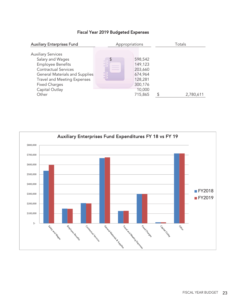#### Fiscal Year 2019 Budgeted Expenses

| <b>Auxiliary Enterprises Fund</b>                                                                                                                                                                                            | Appropriations            |                                                                                     | Totals    |
|------------------------------------------------------------------------------------------------------------------------------------------------------------------------------------------------------------------------------|---------------------------|-------------------------------------------------------------------------------------|-----------|
| <b>Auxiliary Services</b><br>Salary and Wages<br><b>Employee Benefits</b><br>Contractual Services<br>General Materials and Supplies<br><b>Travel and Meeting Expenses</b><br><b>Fixed Charges</b><br>Capital Outlay<br>Other | $\boldsymbol{\mathsf{D}}$ | 598,542<br>149,123<br>203,660<br>674,964<br>128,281<br>300,176<br>10,000<br>715,865 | 2,780,611 |

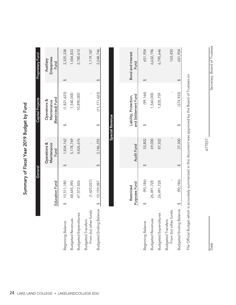| $\vdots$                                                         |
|------------------------------------------------------------------|
| ć                                                                |
| Ī.                                                               |
|                                                                  |
| 2019                                                             |
| ֧֧֧֧֦֧֦֧֧֧֧֧֦֧֧֧֦֧֧֧֧֦֧֧֧֧֛֛֚֚֚֚֚֚֚֚֚֚֚֚֚֓֘֝֓֓֓֝֬֜֓֓֓֓֓֓֓֜֜<br>Ŕ |
|                                                                  |
|                                                                  |
| The mary of Fisson                                               |

|                                                    | General               |                                     | <b>Capital Projects</b>                          | <b>Proprietary Fund</b>          |  |
|----------------------------------------------------|-----------------------|-------------------------------------|--------------------------------------------------|----------------------------------|--|
|                                                    | <b>Education Fund</b> | Operations &<br>Maintenance<br>Fund | (Restricted) Fund<br>Operations &<br>Maintenance | Enterprises<br>Auxiliary<br>Fund |  |
| Beginning Balance                                  | 10,511,180            | 1,834,162                           | (1,821,623)                                      | 2,325,338                        |  |
| <b>Budgeted Revenues</b>                           | 48,645,390            | 5,178,769                           | 1,540,000                                        | ,584,833                         |  |
| <b>Budgeted Expenditures</b>                       | 47,572,426            | 4,826,676                           | 10,890,000                                       | 2,780,612                        |  |
| From (to) other funds<br><b>Budgeted Transfers</b> | (1,425,057)           |                                     |                                                  | 1,119,187                        |  |
| Budgeted Ending Balance \$ 10,159,087              |                       | 2,186,255                           | (11, 171, 623)                                   | 2,248,746                        |  |

|                                                    | Purposes Fund<br>Restricted | Audit Fund | and Settlement Fund<br>Liability, Protection, |            | <b>Bond and Interest</b><br>Fund |
|----------------------------------------------------|-----------------------------|------------|-----------------------------------------------|------------|----------------------------------|
| Beginning Balance                                  | (90, 186)                   | 55,802     |                                               | (99, 164)  | 651,954                          |
| <b>Budgeted Revenues</b>                           | 26,491,728                  | 69,000     |                                               | 1,560,000  | 6,632,196                        |
| res<br><b>Budgeted Expenditu</b>                   | 26,491,728                  | 87,502     |                                               | 1,835,759  | 6,795,646                        |
| From (to) other funds<br><b>Budgeted Transfers</b> |                             |            |                                               |            | 163,450                          |
| <b>Budgeted Ending Balance</b>                     | (90, 186)                   | 37,300     |                                               | (374, 923) | 651,954                          |
|                                                    |                             |            |                                               |            |                                  |

Special Revenue

**Special Revenue** 

The Official Budget which is accurately summarized in this document was approved by the Board of Trustees on The Official Budget which is accurately summarized in this document was approved by the Board of Trustees on

Secretary, Board of Trustees Date Secretary, Board of Trustees

Date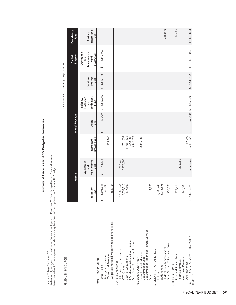Lake Land College District No. 517

Lake Land College District No. 517<br>Said community college's current estimates of revenues anticipated for Fiscal Year 2019 are displayed below. These estimates are<br>based on the best information presently available and may Said community college's current estimates of revenues anticipated for Fiscal Year 2019 are displayed below. These estimates are based on the best information presently available and may be revised before adoption of the Fiscal Year 2019 budget.

REVENUES BY SOURCE REVENUES BY SOURCE

Summary of Fiscal Year 2019 Budgeted Revenues Summary of Fiscal Year 2019 Budgeted Revenues

Chief Fiscal Officer of Community College District #517 Chief Fiscal Officer of Community College District #517

|                                                                                                                                                             |                                                     | General                                          |                                                   | <b>Special Revenue</b> |                                                            |                              | Capital<br>Projects                                              | Proprietary<br>Fund              |
|-------------------------------------------------------------------------------------------------------------------------------------------------------------|-----------------------------------------------------|--------------------------------------------------|---------------------------------------------------|------------------------|------------------------------------------------------------|------------------------------|------------------------------------------------------------------|----------------------------------|
|                                                                                                                                                             | Education<br>Fund<br>E                              | Maintenance<br>Operations<br>Fund<br>E<br>ត<br>ត | Purpose Fund<br>Restricted                        | <b>Audit</b><br>Fund   | Settlement<br>Protection<br>Liability,<br>Fund<br>E<br>and | Bond and<br>Interest<br>Fund | Maintenance<br>Operations<br>(Restricted)<br>Fund<br>E<br>ត<br>ត | Enterprises<br>Auxiliary<br>Fund |
| Corporate Personal Property Replacement Taxes<br>Chargeback Revenue<br>Other Local Revenue<br>LOCAL GOVERNMENT<br>Local Taxes                               | 8,203,381<br>30,000<br>361,167<br>$\leftrightarrow$ | 748,174<br>$\leftrightarrow$                     | 103,166                                           | $\leftrightarrow$      | 69,000 \$ 1,560,000                                        | \$6,632,196                  | 1,540,000<br>$\leftrightarrow$                                   |                                  |
| L Student Assistance Commission<br>Other State Government Sources<br>State University Retirement<br>Dept. of Corrections<br>STATE GOVERNMENT<br>ICCB Grants | 7,852,215<br>477,500<br>17,252,064                  | 1,247,936<br>2,957,307                           | 1,701,859<br>11,051,138<br>1,618,000<br>3,562,677 |                        |                                                            |                              |                                                                  |                                  |
| Department of Health and Human Services<br>Department of Education<br>Department of Labor<br>FEDERAL GOVERNMENT<br>Other                                    | 14,296                                              |                                                  | 8,355,888                                         |                        |                                                            |                              |                                                                  |                                  |
| Other Student Tuition and Fees<br>Student Activity Assessment<br>STUDENT TUITION AND FEES<br>Student Fees<br>Tuition                                        | 9,505,649<br>938,898<br>3,086,596                   |                                                  |                                                   |                        |                                                            |                              |                                                                  | 315,000                          |
| Sales and Service Fees<br>Investment Revenue<br>Facilities Revenue<br>Other Revenues<br>OTHER SOURCES                                                       | 146,000<br>777,624                                  | 225,352                                          | 99.000                                            |                        |                                                            |                              |                                                                  | 1,269,833                        |
| TOTAL FISCAL YEAR 2019 ANTICIPATED<br><b>REVENUE</b>                                                                                                        | \$ 48,645,390                                       | 5,178,769<br>$\leftrightarrow$                   | $$26,491,728$ \$                                  |                        | 69,000 \$ 1,560,000                                        | \$6,632,196                  | 1,540,000<br>$\leftrightarrow$                                   | \$1,584,833                      |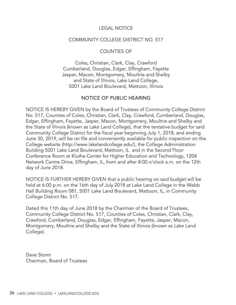#### LEGAL NOTICE

#### COMMUNITY COLLEGE DISTRICT NO. 517

#### COUNTIES OF

Coles, Christian, Clark, Clay, Crawford Cumberland, Douglas, Edgar, Effingham, Fayette Jasper, Macon, Montgomery, Moultrie and Shelby and State of Illinois, Lake Land College, 5001 Lake Land Boulevard, Mattoon, Illinois

#### NOTICE OF PUBLIC HEARING

NOTICE IS HEREBY GIVEN by the Board of Trustees of Community College District No. 517, Counties of Coles, Christian, Clark, Clay, Crawford, Cumberland, Douglas, Edgar, Effingham, Fayette, Jasper, Macon, Montgomery, Moultrie and Shelby and the State of Illinois (known as Lake Land College), that the tentative budget for said Community College District for the fiscal year beginning July 1, 2018, and ending June 30, 2019, will be on file and conveniently available for public inspection on the College website (http://www.lakelandcollege.edu/), the College Administration Building 5001 Lake Land Boulevard, Mattoon, IL and in the Second Floor Conference Room at Kluthe Center for Higher Education and Technology, 1204 Network Centre Drive, Effingham, IL, from and after 8:00 o'clock a.m. on the 12th day of June 2018.

NOTICE IS FURTHER HEREBY GIVEN that a public hearing on said budget will be held at 6:00 p.m. on the 16th day of July 2018 at Lake Land College in the Webb Hall Building Room 081, 5001 Lake Land Boulevard, Mattoon, IL, in Community College District No. 517.

Dated this 11th day of June 2018 by the Chairman of the Board of Trustees, Community College District No. 517, Counties of Coles, Christian, Clark, Clay, Crawford, Cumberland, Douglas, Edgar, Effingham, Fayette, Jasper, Macon, Montgomery, Moultrie and Shelby and the State of Illinois (known as Lake Land College).

Dave Storm Chairman, Board of Trustees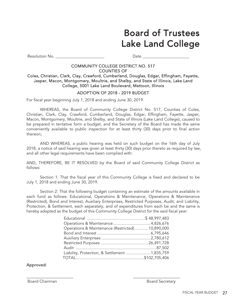## Board of Trustees Lake Land College

Resolution No. \_\_\_\_\_\_\_\_\_\_\_\_\_\_\_\_\_\_\_\_\_\_\_\_ Date \_\_\_\_\_\_\_\_\_\_\_\_\_\_\_\_\_\_\_\_\_\_\_

#### COMMUNITY COLLEGE DISTRICT NO. 517 COUNTIES OF

Coles, Christian, Clark, Clay, Crawford, Cumberland, Douglas, Edgar, Effingham, Fayette, Jasper, Macon, Montgomery, Moultrie, and Shelby, and State of Illinois, Lake Land College, 5001 Lake Land Boulevard, Mattoon, Illinois

#### ADOPTION OF 2018 - 2019 BUDGET

For fiscal year beginning July 1, 2018 and ending June 30, 2019.

WHEREAS, the Board of Community College District No. 517, Counties of Coles, Christian, Clark, Clay, Crawford, Cumberland, Douglas, Edgar, Effingham, Fayette, Jasper, Macon, Montgomery, Moultrie, and Shelby, and State of Illinois (Lake Land College), caused to be prepared in tentative form a budget, and the Secretary of the Board has made the same conveniently available to public inspection for at least thirty (30) days prior to final action thereon;

AND WHEREAS, a public hearing was held on such budget on the 16th day of July 2018, a notice of said hearing was given at least thirty (30) days prior thereto as required by law, and all other legal requirements have been complied with:

AND, THEREFORE, BE IT RESOLVED by the Board of said Community College District as follows:

Section 1: That the fiscal year of this Community College is fixed and declared to be July 1, 2018 and ending June 30, 2019.

Section 2: That the following budget containing an estimate of the amounts available in each fund as follows: Educational, Operations & Maintenance, Operations & Maintenance (Restricted), Bond and Interest, Auxiliary Enterprises, Restricted Purposes, Audit, and Liability, Protection, & Settlement, each separately, and of expenditures from each be and the same is hereby adopted as the budget of this Community College District for the said fiscal year:

| Operations & Maintenance (Restricted) 10,890,000 |  |
|--------------------------------------------------|--|
|                                                  |  |
|                                                  |  |
|                                                  |  |
|                                                  |  |
| Liability, Protection, & Settlement  1,835,759   |  |
|                                                  |  |
|                                                  |  |

#### Approved:

 $\overline{a}$ 

Board Chairman **Board Secretary Board Secretary**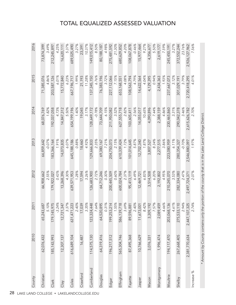| County     | 2010          | 2011                | 2012                | 2013                   | 2014                | 2015                | 2016                |
|------------|---------------|---------------------|---------------------|------------------------|---------------------|---------------------|---------------------|
| Christian  | 62,076,432    | 5.10%<br>65,243,687 | 2.55%<br>66,908,662 | $-0.07%$<br>66,859,642 | 1.82%<br>68,076,769 | 4.86%<br>71,385,076 | 3.49%<br>73,874,399 |
| Clark      | 185, 143, 993 | 179, 145, 975       | 179,922,027         | 183,366,164            | 192,037,058         | 203,587,126         | 212,245,897         |
|            |               | $-3.24%$            | 0.43%               | 1.91%                  | 4.73%               | 6.01%               | 4.25%               |
| Clay       | 12,307,137    | 12,721,347          | 13,268,396          | 14,073,835             | 14,847,312          | 15,772,840          | 16,620,111          |
|            |               | 3.37%               | 4.30%               | 6.07%                  | 5.50%               | 6.23%               | 5.37%               |
| Coles      | 616,689,104   | 631,471,223         | 639,571,953         | 645,188,186            | 654, 199, 196       | 667, 196, 717       | 689,025,490         |
|            |               | 2.40%               | 1.28%               | 0.88%                  | 1.40%               | 1.99%               | 3.27%               |
| Crawford   | 16,487        | 17,039              | 17,594              | 18,460                 | 19,045              | 21,193              | 23,391              |
|            |               | 3.35%               | 3.26%               | 4.92%                  | 3.17%               | 11.28%              | 10.37%              |
| Cumberland | 114,575,130   | 123,324,448         | 126,683,900         | 129,666,833            | 128,649,172         | 137, 345, 150       | 149,015,412         |
|            |               | 7.64%               | 2.72%               | 2.35%                  | $-0.78%$            | 6.76%               | 8.50%               |
| Douglas    | 64,319,416    | 64,520,895          | 64,712,246          | 69,380,167             | 73,644,709          | 76,383,196          | 80,188,187          |
|            |               | 0.31%               | 0.30%               | 7.21%                  | 6.15%               | 3.72%               | 4.98%               |
| Edgar      | 196,217,512   | 199,253,214         | 200,445,509         | 204,750,073            | 211,950,082         | 227,112,066         | 275,481,592         |
|            |               | 1.55%               | 0.60%               | 2.15%                  | 3.52%               | 7.15%               | 21.30%              |
| Effingham  | 565,304,746   | 586,139,718         | 600,024,784         | 610,339,424            | 627, 555, 718       | 653,168,551         | 680,629,852         |
|            |               | 3.69%               | 2.37%               | 1.72%                  | 2.82%               | 4.08%               | 4.20%               |
| Fayette    | 87,495,368    | 89,596,881          | 95,413,119          | 101,014,645            | 103,605,411         | 108,563,794         | 108,067,878         |
|            |               | 2.40%               | 6.49%               | 5.87%                  | 2.56%               | 4.79%               | $-0.46%$            |
| Jasper     | 10,766,629    | 73,001<br>11,67     | 12,469,721          | 12,702,340             | 14,055,017          | 14,622,564          | 15,977,464          |
|            |               | 8.42%               | 6.83%               | 1.87%                  | 10.65%              | 4.04%               | 9.27%               |
| Macon      | 3,076,331     | 3,309,192           | 3,514,508           | 3,807,527              | 4,090,896           | 4,129,395           | 4,356,677           |
|            |               | 7.57%               | 6.20%               | 8.34%                  | 7.44%               | 0.94%               | 5.50%               |
| Montgomery | 1,996,474     | 2,089,459           | 2,192,802           | 2,277,515              | 2,388,159           | 2,434,363           | 2,619,177           |
|            |               | 4.66%               | 4.95%               | 3.86%                  | 4.86%               | 1.93%               | 7.59%               |
| Moultrie   | 194, 117, 470 | 203,068,136         | 210,245,070         | 223,080,959            | 230,465,860         | 237,667,073         | 245,450,191         |
|            |               | 4.61%               | 3.53%               | 6.11%                  | 3.31%               | 3.12%               | 3.27%               |
| Shelby     | 267,668,405   | 275,533,110         | 282,334,080         | 280, 354, 327          | 290,042,378         | 301,029,191         | 372,552,244         |
|            |               | 2.94%               | 2.47%               | $-0.70%$               | 3.46%               | 3.79%               | 23.76%              |
|            | 2,381,770,634 | 2,447,107,325       | 2,497,724,371       | 2,546,880,097          | 2,615,626,782       | 2,720,418,295       | 2,926,127,962       |
| Increase % |               | 2.74%               | 2.07%               | 1.97%                  | 2.70%               | 4.01%               | 7.56%               |

\* Amount by County contains only the portion of the county that is in the Lake Land College District. \* Amount by County contains only the portion of the county that is in the Lake Land College District.

## TOTAL EQUALIZED ASSESSED VALUATION